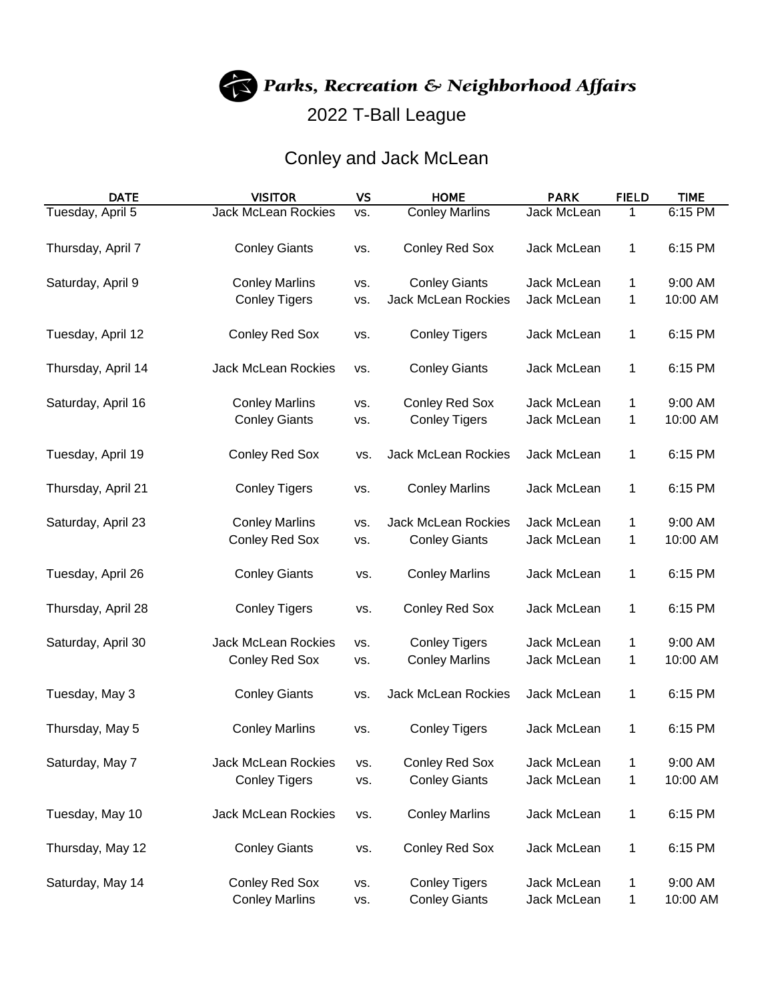Parks, Recreation & Neighborhood Affairs

## 2022 T-Ball League

## Conley and Jack McLean

| <b>DATE</b>        | <b>VISITOR</b>             | <b>VS</b> | <b>HOME</b>                | <b>PARK</b>        | <b>FIELD</b> | <b>TIME</b> |
|--------------------|----------------------------|-----------|----------------------------|--------------------|--------------|-------------|
| Tuesday, April 5   | <b>Jack McLean Rockies</b> | VS.       | <b>Conley Marlins</b>      | Jack McLean        | 1            | 6:15 PM     |
|                    |                            |           |                            |                    |              |             |
| Thursday, April 7  | <b>Conley Giants</b>       | VS.       | <b>Conley Red Sox</b>      | Jack McLean        | 1            | 6:15 PM     |
|                    |                            |           |                            |                    |              |             |
| Saturday, April 9  | <b>Conley Marlins</b>      | VS.       | <b>Conley Giants</b>       | Jack McLean        | 1            | 9:00 AM     |
|                    | <b>Conley Tigers</b>       | VS.       | <b>Jack McLean Rockies</b> | Jack McLean        | 1            | 10:00 AM    |
|                    |                            |           |                            |                    |              |             |
| Tuesday, April 12  | <b>Conley Red Sox</b>      | VS.       | <b>Conley Tigers</b>       | Jack McLean        | 1            | 6:15 PM     |
| Thursday, April 14 | <b>Jack McLean Rockies</b> | VS.       | <b>Conley Giants</b>       | Jack McLean        | 1            | 6:15 PM     |
|                    |                            |           |                            |                    |              |             |
| Saturday, April 16 | <b>Conley Marlins</b>      | VS.       | <b>Conley Red Sox</b>      | Jack McLean        | 1            | 9:00 AM     |
|                    | <b>Conley Giants</b>       | VS.       | <b>Conley Tigers</b>       | Jack McLean        | 1            | 10:00 AM    |
|                    |                            |           |                            |                    |              |             |
| Tuesday, April 19  | <b>Conley Red Sox</b>      | VS.       | <b>Jack McLean Rockies</b> | Jack McLean        | 1            | 6:15 PM     |
|                    |                            |           |                            |                    |              |             |
| Thursday, April 21 | <b>Conley Tigers</b>       | VS.       | <b>Conley Marlins</b>      | Jack McLean        | 1            | 6:15 PM     |
|                    |                            |           |                            |                    |              |             |
| Saturday, April 23 | <b>Conley Marlins</b>      | VS.       | <b>Jack McLean Rockies</b> | <b>Jack McLean</b> | 1            | 9:00 AM     |
|                    | <b>Conley Red Sox</b>      | VS.       | <b>Conley Giants</b>       | Jack McLean        | 1            | 10:00 AM    |
|                    |                            |           |                            |                    |              |             |
| Tuesday, April 26  | <b>Conley Giants</b>       | VS.       | <b>Conley Marlins</b>      | Jack McLean        | 1            | 6:15 PM     |
| Thursday, April 28 | <b>Conley Tigers</b>       | VS.       | <b>Conley Red Sox</b>      | Jack McLean        | 1            | 6:15 PM     |
|                    |                            |           |                            |                    |              |             |
| Saturday, April 30 | Jack McLean Rockies        | VS.       | <b>Conley Tigers</b>       | Jack McLean        | 1            | 9:00 AM     |
|                    | <b>Conley Red Sox</b>      | VS.       | <b>Conley Marlins</b>      | Jack McLean        | 1            | 10:00 AM    |
|                    |                            |           |                            |                    |              |             |
| Tuesday, May 3     | <b>Conley Giants</b>       | VS.       | Jack McLean Rockies        | Jack McLean        | 1            | 6:15 PM     |
|                    |                            |           |                            |                    |              |             |
| Thursday, May 5    | <b>Conley Marlins</b>      | VS.       | <b>Conley Tigers</b>       | Jack McLean        | 1            | 6:15 PM     |
|                    |                            |           |                            |                    |              |             |
| Saturday, May 7    | Jack McLean Rockies        | VS.       | <b>Conley Red Sox</b>      | Jack McLean        | 1            | 9:00 AM     |
|                    | <b>Conley Tigers</b>       | VS.       | <b>Conley Giants</b>       | Jack McLean        | 1            | 10:00 AM    |
|                    |                            |           |                            |                    |              |             |
| Tuesday, May 10    | <b>Jack McLean Rockies</b> | VS.       | <b>Conley Marlins</b>      | Jack McLean        | 1            | 6:15 PM     |
| Thursday, May 12   | <b>Conley Giants</b>       | VS.       | Conley Red Sox             | Jack McLean        | 1            | 6:15 PM     |
|                    |                            |           |                            |                    |              |             |
| Saturday, May 14   | <b>Conley Red Sox</b>      | VS.       | <b>Conley Tigers</b>       | Jack McLean        | 1            | 9:00 AM     |
|                    | <b>Conley Marlins</b>      | VS.       | <b>Conley Giants</b>       | Jack McLean        | 1            | 10:00 AM    |